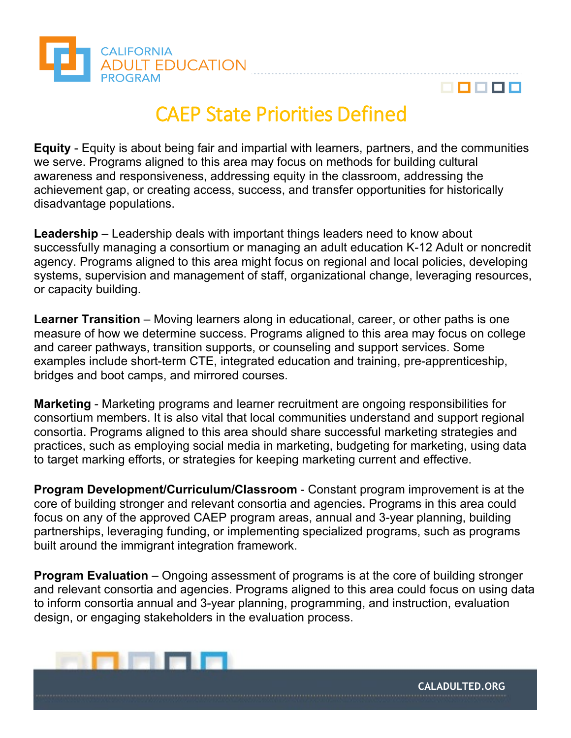



## CAEP State Priorities Defined

**Equity** - Equity is about being fair and impartial with learners, partners, and the communities we serve. Programs aligned to this area may focus on methods for building cultural awareness and responsiveness, addressing equity in the classroom, addressing the achievement gap, or creating access, success, and transfer opportunities for historically disadvantage populations.

**Leadership** – Leadership deals with important things leaders need to know about successfully managing a consortium or managing an adult education K-12 Adult or noncredit agency. Programs aligned to this area might focus on regional and local policies, developing systems, supervision and management of staff, organizational change, leveraging resources, or capacity building.

**Learner Transition** – Moving learners along in educational, career, or other paths is one measure of how we determine success. Programs aligned to this area may focus on college and career pathways, transition supports, or counseling and support services. Some examples include short-term CTE, integrated education and training, pre-apprenticeship, bridges and boot camps, and mirrored courses.

**Marketing** - Marketing programs and learner recruitment are ongoing responsibilities for consortium members. It is also vital that local communities understand and support regional consortia. Programs aligned to this area should share successful marketing strategies and practices, such as employing social media in marketing, budgeting for marketing, using data to target marking efforts, or strategies for keeping marketing current and effective.

**Program Development/Curriculum/Classroom** - Constant program improvement is at the core of building stronger and relevant consortia and agencies. Programs in this area could focus on any of the approved CAEP program areas, annual and 3-year planning, building partnerships, leveraging funding, or implementing specialized programs, such as programs built around the immigrant integration framework.

**Program Evaluation** – Ongoing assessment of programs is at the core of building stronger and relevant consortia and agencies. Programs aligned to this area could focus on using data to inform consortia annual and 3-year planning, programming, and instruction, evaluation design, or engaging stakeholders in the evaluation process.